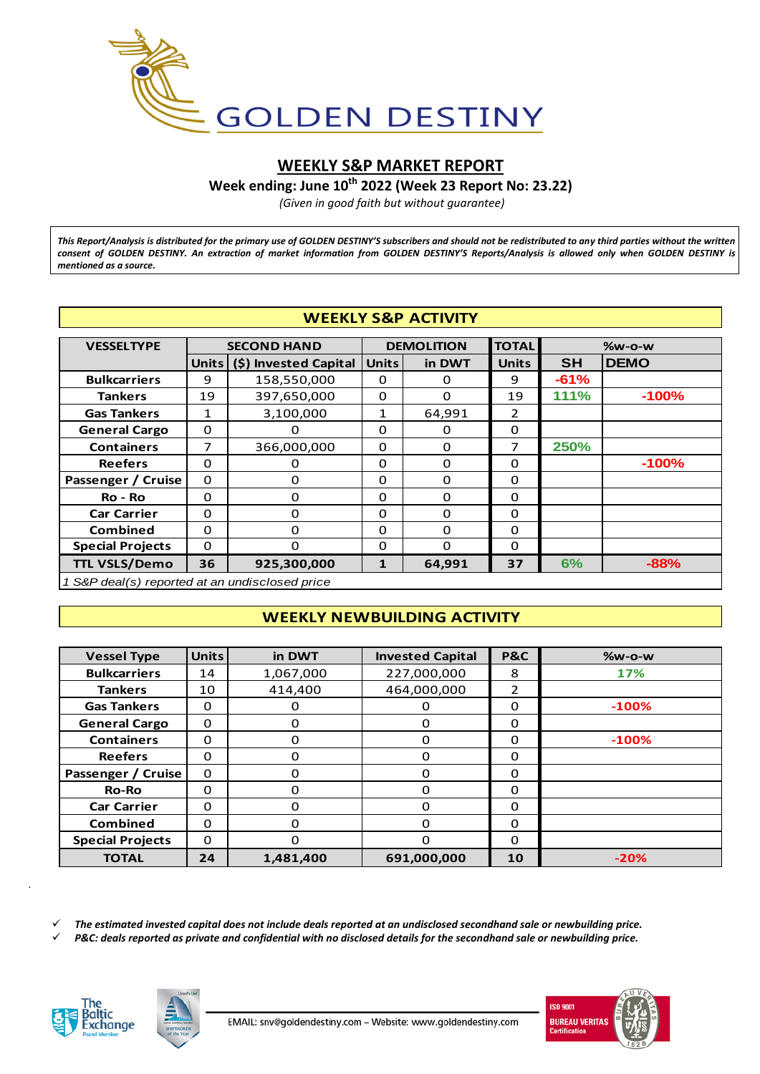

# **WEEKLY S&P MARKET REPORT**

**Week ending: June 10th 2022 (Week 23 Report No: 23.22)**

*(Given in good faith but without guarantee)*

*This Report/Analysis is distributed for the primary use of GOLDEN DESTINY'S subscribers and should not be redistributed to any third parties without the written consent of GOLDEN DESTINY. An extraction of market information from GOLDEN DESTINY'S Reports/Analysis is allowed only when GOLDEN DESTINY is mentioned as a source.*

| <b>WEEKLY S&amp;P ACTIVITY</b>                 |              |                       |              |                        |                |           |             |  |  |  |  |  |
|------------------------------------------------|--------------|-----------------------|--------------|------------------------|----------------|-----------|-------------|--|--|--|--|--|
| <b>VESSELTYPE</b>                              |              | <b>SECOND HAND</b>    |              | <b>DEMOLITION</b>      | <b>TOTAL</b>   | $%w-o-w$  |             |  |  |  |  |  |
|                                                | <b>Units</b> | (\$) Invested Capital |              | <b>Units</b><br>in DWT |                | <b>SH</b> | <b>DEMO</b> |  |  |  |  |  |
| <b>Bulkcarriers</b>                            | 9            | 158,550,000           | 0            | 0                      | 9              | $-61%$    |             |  |  |  |  |  |
| <b>Tankers</b>                                 | 19           | 397,650,000           | $\Omega$     | $\Omega$               | 19             | 111%      | $-100%$     |  |  |  |  |  |
| <b>Gas Tankers</b>                             | $\mathbf{1}$ | 3,100,000             | $\mathbf{1}$ | 64,991                 | $\overline{2}$ |           |             |  |  |  |  |  |
| <b>General Cargo</b>                           | $\Omega$     | $\Omega$              | $\Omega$     | $\Omega$               | $\Omega$       |           |             |  |  |  |  |  |
| <b>Containers</b>                              | 7            | 366,000,000           | $\Omega$     | $\Omega$               | 7              | 250%      |             |  |  |  |  |  |
| <b>Reefers</b>                                 | $\Omega$     | 0                     | 0            | $\Omega$               | $\Omega$       |           | $-100%$     |  |  |  |  |  |
| Passenger / Cruise                             | $\Omega$     | $\Omega$              | $\Omega$     | $\Omega$               | $\Omega$       |           |             |  |  |  |  |  |
| Ro - Ro                                        | $\Omega$     | $\Omega$              | $\Omega$     | $\Omega$               | $\Omega$       |           |             |  |  |  |  |  |
| <b>Car Carrier</b>                             | $\Omega$     | 0                     | 0            | $\Omega$               | 0              |           |             |  |  |  |  |  |
| <b>Combined</b>                                | $\Omega$     | O                     | $\Omega$     | $\Omega$               | 0              |           |             |  |  |  |  |  |
| <b>Special Projects</b>                        | $\Omega$     | O                     | $\Omega$     | $\Omega$               | $\Omega$       |           |             |  |  |  |  |  |
| <b>TTL VSLS/Demo</b>                           | 36           | 925,300,000           | $\mathbf{1}$ | 64,991                 | 37             | 6%        | $-88%$      |  |  |  |  |  |
| 1 S&P deal(s) reported at an undisclosed price |              |                       |              |                        |                |           |             |  |  |  |  |  |

#### *1 S&P deal(s) reported at an undisclosed price*

## **WEEKLY NEWBUILDING ACTIVITY**

| <b>WEEKLY NEWBUILDING ACTIVITY</b> |              |           |                         |                |          |  |  |  |  |  |
|------------------------------------|--------------|-----------|-------------------------|----------------|----------|--|--|--|--|--|
|                                    |              |           |                         |                |          |  |  |  |  |  |
| <b>Vessel Type</b>                 | <b>Units</b> | in DWT    | <b>Invested Capital</b> | <b>P&amp;C</b> | $%w-o-w$ |  |  |  |  |  |
| <b>Bulkcarriers</b>                | 14           | 1,067,000 | 227,000,000             | 8              | 17%      |  |  |  |  |  |
| <b>Tankers</b>                     | 10           | 414,400   | 464,000,000             | 2              |          |  |  |  |  |  |
| <b>Gas Tankers</b>                 | $\Omega$     | 0         | $\Omega$                | $\Omega$       | $-100%$  |  |  |  |  |  |
| <b>General Cargo</b>               | $\Omega$     | $\Omega$  | $\Omega$                | $\Omega$       |          |  |  |  |  |  |
| <b>Containers</b>                  | $\Omega$     | 0         | 0                       | $\Omega$       | $-100%$  |  |  |  |  |  |
| <b>Reefers</b>                     | $\Omega$     | $\Omega$  | $\Omega$                | $\Omega$       |          |  |  |  |  |  |
| Passenger / Cruise                 | $\Omega$     | $\Omega$  | $\Omega$                | $\Omega$       |          |  |  |  |  |  |
| <b>Ro-Ro</b>                       | $\Omega$     | 0         | $\Omega$                | $\Omega$       |          |  |  |  |  |  |
| <b>Car Carrier</b>                 | $\Omega$     | 0         | $\Omega$                | $\Omega$       |          |  |  |  |  |  |
| <b>Combined</b>                    | $\Omega$     | 0         | $\Omega$                | $\Omega$       |          |  |  |  |  |  |
| <b>Special Projects</b>            | $\Omega$     | $\Omega$  | $\Omega$                | $\Omega$       |          |  |  |  |  |  |
| <b>TOTAL</b>                       | 24           | 1,481,400 | 691,000,000             | 10             | $-20%$   |  |  |  |  |  |
|                                    |              |           |                         |                |          |  |  |  |  |  |

*The estimated invested capital does not include deals reported at an undisclosed secondhand sale or newbuilding price.*

*P&C: deals reported as private and confidential with no disclosed details for the secondhand sale or newbuilding price.*



*.*



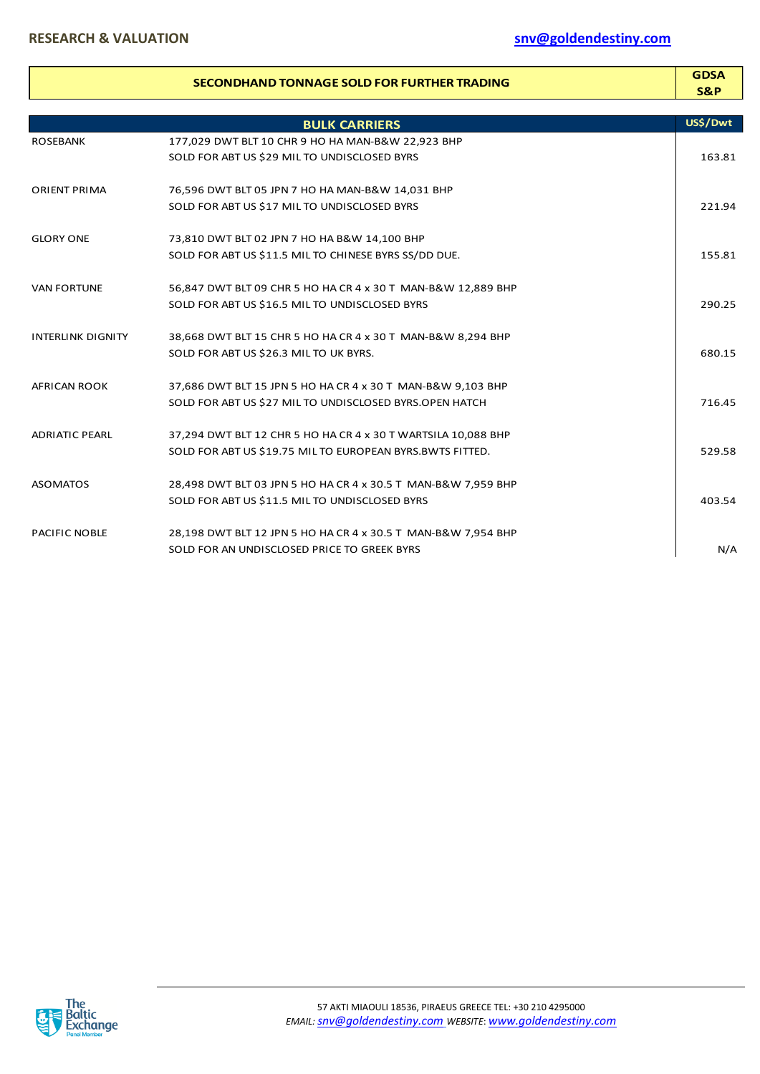|                          | <b>SECONDHAND TONNAGE SOLD FOR FURTHER TRADING</b>            | <b>GDSA</b><br><b>S&amp;P</b> |
|--------------------------|---------------------------------------------------------------|-------------------------------|
|                          | <b>BULK CARRIERS</b>                                          | US\$/Dwt                      |
| <b>ROSEBANK</b>          | 177,029 DWT BLT 10 CHR 9 HO HA MAN-B&W 22,923 BHP             |                               |
|                          | SOLD FOR ABT US \$29 MIL TO UNDISCLOSED BYRS                  | 163.81                        |
| <b>ORIENT PRIMA</b>      | 76,596 DWT BLT 05 JPN 7 HO HA MAN-B&W 14,031 BHP              |                               |
|                          | SOLD FOR ABT US \$17 MIL TO UNDISCLOSED BYRS                  | 221.94                        |
| <b>GLORY ONE</b>         | 73,810 DWT BLT 02 JPN 7 HO HA B&W 14,100 BHP                  |                               |
|                          | SOLD FOR ABT US \$11.5 MIL TO CHINESE BYRS SS/DD DUE.         | 155.81                        |
| <b>VAN FORTUNE</b>       | 56,847 DWT BLT 09 CHR 5 HO HA CR 4 x 30 T MAN-B&W 12,889 BHP  |                               |
|                          | SOLD FOR ABT US \$16.5 MIL TO UNDISCLOSED BYRS                | 290.25                        |
| <b>INTERLINK DIGNITY</b> | 38,668 DWT BLT 15 CHR 5 HO HA CR 4 x 30 T MAN-B&W 8,294 BHP   |                               |
|                          | SOLD FOR ABT US \$26.3 MIL TO UK BYRS.                        | 680.15                        |
| AFRICAN ROOK             | 37,686 DWT BLT 15 JPN 5 HO HA CR 4 x 30 T MAN-B&W 9,103 BHP   |                               |
|                          | SOLD FOR ABT US \$27 MIL TO UNDISCLOSED BYRS.OPEN HATCH       | 716.45                        |
| <b>ADRIATIC PEARL</b>    | 37,294 DWT BLT 12 CHR 5 HO HA CR 4 x 30 T WARTSILA 10,088 BHP |                               |
|                          | SOLD FOR ABT US \$19.75 MIL TO EUROPEAN BYRS.BWTS FITTED.     | 529.58                        |
| <b>ASOMATOS</b>          | 28,498 DWT BLT 03 JPN 5 HO HA CR 4 x 30.5 T MAN-B&W 7,959 BHP |                               |
|                          | SOLD FOR ABT US \$11.5 MIL TO UNDISCLOSED BYRS                | 403.54                        |
| PACIFIC NOBLE            | 28,198 DWT BLT 12 JPN 5 HO HA CR 4 x 30.5 T MAN-B&W 7,954 BHP |                               |
|                          | SOLD FOR AN UNDISCLOSED PRICE TO GREEK BYRS                   | N/A                           |

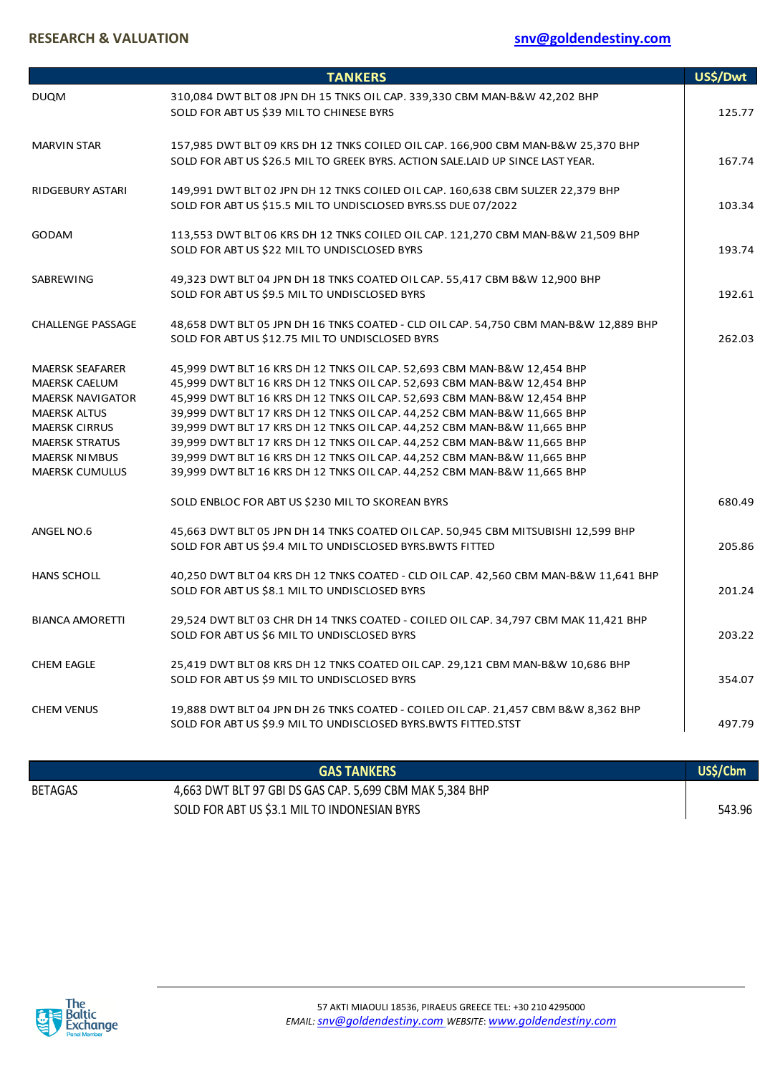# **RESEARCH & VALUATION [snv@goldendestiny.com](mailto:snv@goldendestiny.com)**

|                                                                                                                                                                                                    | <b>TANKERS</b>                                                                                                                                                                                                                                                                                                                                                                                                                                                                                                                                                                                                       | US\$/Dwt |
|----------------------------------------------------------------------------------------------------------------------------------------------------------------------------------------------------|----------------------------------------------------------------------------------------------------------------------------------------------------------------------------------------------------------------------------------------------------------------------------------------------------------------------------------------------------------------------------------------------------------------------------------------------------------------------------------------------------------------------------------------------------------------------------------------------------------------------|----------|
| <b>DUQM</b>                                                                                                                                                                                        | 310,084 DWT BLT 08 JPN DH 15 TNKS OIL CAP. 339,330 CBM MAN-B&W 42,202 BHP<br>SOLD FOR ABT US \$39 MIL TO CHINESE BYRS                                                                                                                                                                                                                                                                                                                                                                                                                                                                                                | 125.77   |
| <b>MARVIN STAR</b>                                                                                                                                                                                 | 157,985 DWT BLT 09 KRS DH 12 TNKS COILED OIL CAP. 166,900 CBM MAN-B&W 25,370 BHP<br>SOLD FOR ABT US \$26.5 MIL TO GREEK BYRS. ACTION SALE.LAID UP SINCE LAST YEAR.                                                                                                                                                                                                                                                                                                                                                                                                                                                   | 167.74   |
| <b>RIDGEBURY ASTARI</b>                                                                                                                                                                            | 149,991 DWT BLT 02 JPN DH 12 TNKS COILED OIL CAP. 160,638 CBM SULZER 22,379 BHP<br>SOLD FOR ABT US \$15.5 MIL TO UNDISCLOSED BYRS.SS DUE 07/2022                                                                                                                                                                                                                                                                                                                                                                                                                                                                     | 103.34   |
| <b>GODAM</b>                                                                                                                                                                                       | 113,553 DWT BLT 06 KRS DH 12 TNKS COILED OIL CAP. 121,270 CBM MAN-B&W 21,509 BHP<br>SOLD FOR ABT US \$22 MIL TO UNDISCLOSED BYRS                                                                                                                                                                                                                                                                                                                                                                                                                                                                                     | 193.74   |
| SABREWING                                                                                                                                                                                          | 49,323 DWT BLT 04 JPN DH 18 TNKS COATED OIL CAP. 55,417 CBM B&W 12,900 BHP<br>SOLD FOR ABT US \$9.5 MIL TO UNDISCLOSED BYRS                                                                                                                                                                                                                                                                                                                                                                                                                                                                                          | 192.61   |
| <b>CHALLENGE PASSAGE</b>                                                                                                                                                                           | 48,658 DWT BLT 05 JPN DH 16 TNKS COATED - CLD OIL CAP. 54,750 CBM MAN-B&W 12,889 BHP<br>SOLD FOR ABT US \$12.75 MIL TO UNDISCLOSED BYRS                                                                                                                                                                                                                                                                                                                                                                                                                                                                              | 262.03   |
| <b>MAERSK SEAFARER</b><br><b>MAERSK CAELUM</b><br><b>MAERSK NAVIGATOR</b><br><b>MAERSK ALTUS</b><br><b>MAERSK CIRRUS</b><br><b>MAERSK STRATUS</b><br><b>MAERSK NIMBUS</b><br><b>MAERSK CUMULUS</b> | 45,999 DWT BLT 16 KRS DH 12 TNKS OIL CAP. 52,693 CBM MAN-B&W 12,454 BHP<br>45,999 DWT BLT 16 KRS DH 12 TNKS OIL CAP. 52,693 CBM MAN-B&W 12,454 BHP<br>45,999 DWT BLT 16 KRS DH 12 TNKS OIL CAP. 52,693 CBM MAN-B&W 12,454 BHP<br>39,999 DWT BLT 17 KRS DH 12 TNKS OIL CAP. 44,252 CBM MAN-B&W 11,665 BHP<br>39,999 DWT BLT 17 KRS DH 12 TNKS OIL CAP. 44,252 CBM MAN-B&W 11,665 BHP<br>39,999 DWT BLT 17 KRS DH 12 TNKS OIL CAP. 44,252 CBM MAN-B&W 11,665 BHP<br>39,999 DWT BLT 16 KRS DH 12 TNKS OIL CAP. 44,252 CBM MAN-B&W 11,665 BHP<br>39,999 DWT BLT 16 KRS DH 12 TNKS OIL CAP. 44,252 CBM MAN-B&W 11,665 BHP |          |
|                                                                                                                                                                                                    | SOLD ENBLOC FOR ABT US \$230 MIL TO SKOREAN BYRS                                                                                                                                                                                                                                                                                                                                                                                                                                                                                                                                                                     | 680.49   |
| ANGEL NO.6                                                                                                                                                                                         | 45,663 DWT BLT 05 JPN DH 14 TNKS COATED OIL CAP. 50,945 CBM MITSUBISHI 12,599 BHP<br>SOLD FOR ABT US \$9.4 MIL TO UNDISCLOSED BYRS.BWTS FITTED                                                                                                                                                                                                                                                                                                                                                                                                                                                                       | 205.86   |
| <b>HANS SCHOLL</b>                                                                                                                                                                                 | 40,250 DWT BLT 04 KRS DH 12 TNKS COATED - CLD OIL CAP. 42,560 CBM MAN-B&W 11,641 BHP<br>SOLD FOR ABT US \$8.1 MIL TO UNDISCLOSED BYRS                                                                                                                                                                                                                                                                                                                                                                                                                                                                                | 201.24   |
| <b>BIANCA AMORETTI</b>                                                                                                                                                                             | 29,524 DWT BLT 03 CHR DH 14 TNKS COATED - COILED OIL CAP. 34,797 CBM MAK 11,421 BHP<br>SOLD FOR ABT US \$6 MIL TO UNDISCLOSED BYRS                                                                                                                                                                                                                                                                                                                                                                                                                                                                                   | 203.22   |
| <b>CHEM EAGLE</b>                                                                                                                                                                                  | 25,419 DWT BLT 08 KRS DH 12 TNKS COATED OIL CAP. 29,121 CBM MAN-B&W 10,686 BHP<br>SOLD FOR ABT US \$9 MIL TO UNDISCLOSED BYRS                                                                                                                                                                                                                                                                                                                                                                                                                                                                                        | 354.07   |
| <b>CHEM VENUS</b>                                                                                                                                                                                  | 19,888 DWT BLT 04 JPN DH 26 TNKS COATED - COILED OIL CAP. 21,457 CBM B&W 8,362 BHP<br>SOLD FOR ABT US \$9.9 MIL TO UNDISCLOSED BYRS.BWTS FITTED.STST                                                                                                                                                                                                                                                                                                                                                                                                                                                                 | 497.79   |
|                                                                                                                                                                                                    | <b>GAS TANKERS</b>                                                                                                                                                                                                                                                                                                                                                                                                                                                                                                                                                                                                   | US\$/Cbm |
|                                                                                                                                                                                                    |                                                                                                                                                                                                                                                                                                                                                                                                                                                                                                                                                                                                                      |          |

BETAGAS 4,663 DWT BLT 97 GBI DS GAS CAP. 5,699 CBM MAK 5,384 BHP SOLD FOR ABT US \$3.1 MIL TO INDONESIAN BYRS 543.96

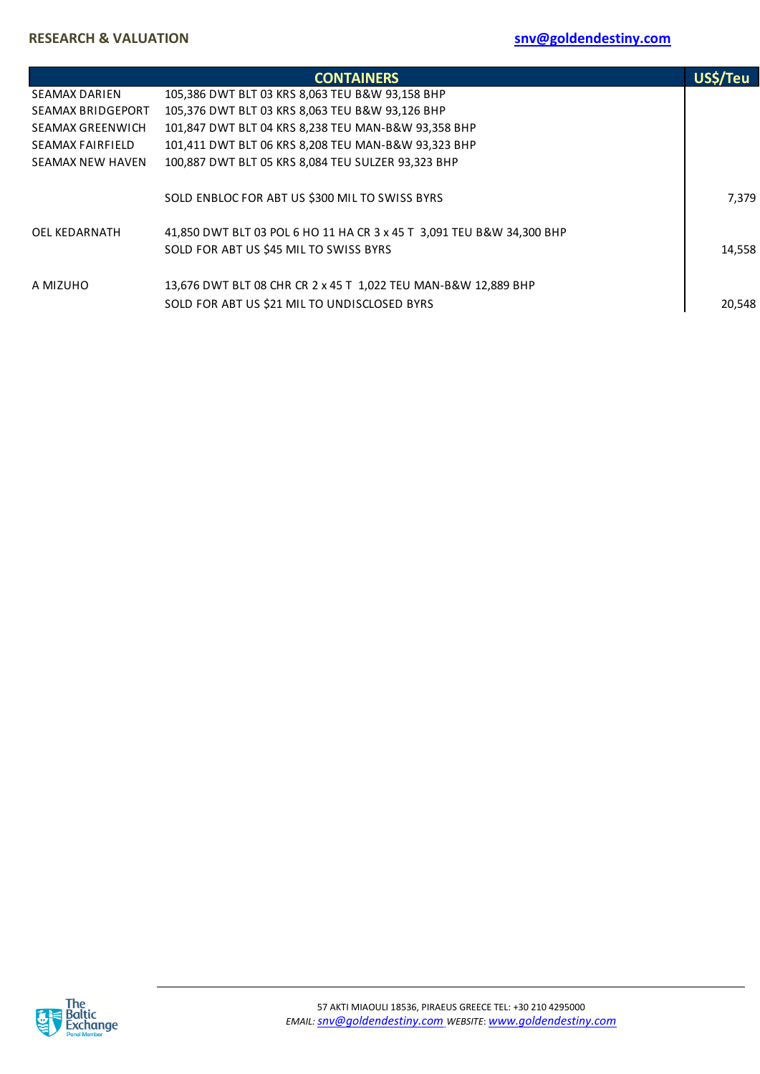|                          | <b>CONTAINERS</b>                                                     | US\$/Teu |
|--------------------------|-----------------------------------------------------------------------|----------|
| <b>SEAMAX DARIEN</b>     | 105,386 DWT BLT 03 KRS 8,063 TEU B&W 93,158 BHP                       |          |
| <b>SEAMAX BRIDGEPORT</b> | 105,376 DWT BLT 03 KRS 8,063 TEU B&W 93,126 BHP                       |          |
| SEAMAX GREENWICH         | 101,847 DWT BLT 04 KRS 8,238 TEU MAN-B&W 93,358 BHP                   |          |
| SEAMAX FAIRFIELD         | 101,411 DWT BLT 06 KRS 8,208 TEU MAN-B&W 93,323 BHP                   |          |
| <b>SEAMAX NEW HAVEN</b>  | 100,887 DWT BLT 05 KRS 8,084 TEU SULZER 93,323 BHP                    |          |
|                          | SOLD ENBLOC FOR ABT US \$300 MIL TO SWISS BYRS                        | 7.379    |
| OEL KEDARNATH            | 41,850 DWT BLT 03 POL 6 HO 11 HA CR 3 x 45 T 3,091 TEU B&W 34,300 BHP |          |
|                          | SOLD FOR ABT US \$45 MIL TO SWISS BYRS                                | 14,558   |
| A MIZUHO                 | 13,676 DWT BLT 08 CHR CR 2 x 45 T 1,022 TEU MAN-B&W 12,889 BHP        |          |
|                          | SOLD FOR ABT US \$21 MIL TO UNDISCLOSED BYRS                          | 20,548   |

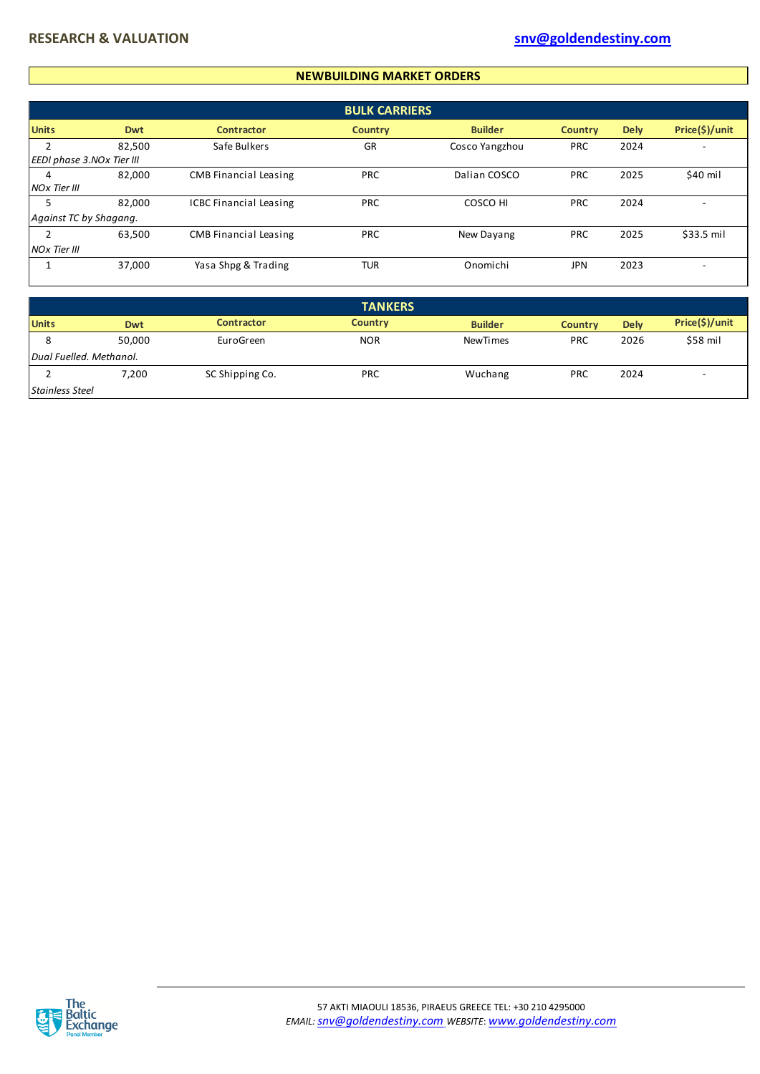#### **NEWBUILDING MARKET ORDERS**

|                           |            |                               | <b>BULK CARRIERS</b> |                |                |             |                |
|---------------------------|------------|-------------------------------|----------------------|----------------|----------------|-------------|----------------|
| <b>Units</b>              | <b>Dwt</b> | <b>Contractor</b>             | <b>Country</b>       | <b>Builder</b> | <b>Country</b> | <b>Dely</b> | Price(\$)/unit |
|                           | 82,500     | Safe Bulkers                  | GR                   | Cosco Yangzhou | <b>PRC</b>     | 2024        |                |
| EEDI phase 3.NOx Tier III |            |                               |                      |                |                |             |                |
| 4                         | 82,000     | <b>CMB Financial Leasing</b>  | <b>PRC</b>           | Dalian COSCO   | <b>PRC</b>     | 2025        | \$40 mil       |
| <b>NOx Tier III</b>       |            |                               |                      |                |                |             |                |
|                           | 82,000     | <b>ICBC Financial Leasing</b> | <b>PRC</b>           | COSCO HI       | <b>PRC</b>     | 2024        | ۰              |
| Against TC by Shagang.    |            |                               |                      |                |                |             |                |
|                           | 63,500     | <b>CMB Financial Leasing</b>  | <b>PRC</b>           | New Dayang     | <b>PRC</b>     | 2025        | \$33.5 mil     |
| <b>NOx Tier III</b>       |            |                               |                      |                |                |             |                |
|                           | 37,000     | Yasa Shpg & Trading           | <b>TUR</b>           | Onomichi       | JPN            | 2023        |                |

|                        |                         |                   | <b>TANKERS</b> |                 |                |             |                          |
|------------------------|-------------------------|-------------------|----------------|-----------------|----------------|-------------|--------------------------|
| <b>Units</b>           | Dwt                     | <b>Contractor</b> | <b>Country</b> | <b>Builder</b>  | <b>Country</b> | <b>Dely</b> | Price(\$)/unit           |
| 8                      | 50,000                  | EuroGreen         | <b>NOR</b>     | <b>NewTimes</b> | <b>PRC</b>     | 2026        | \$58 mil                 |
|                        | Dual Fuelled. Methanol. |                   |                |                 |                |             |                          |
|                        | 7,200                   | SC Shipping Co.   | PRC            | Wuchang         | PRC            | 2024        | $\overline{\phantom{a}}$ |
| <b>Stainless Steel</b> |                         |                   |                |                 |                |             |                          |

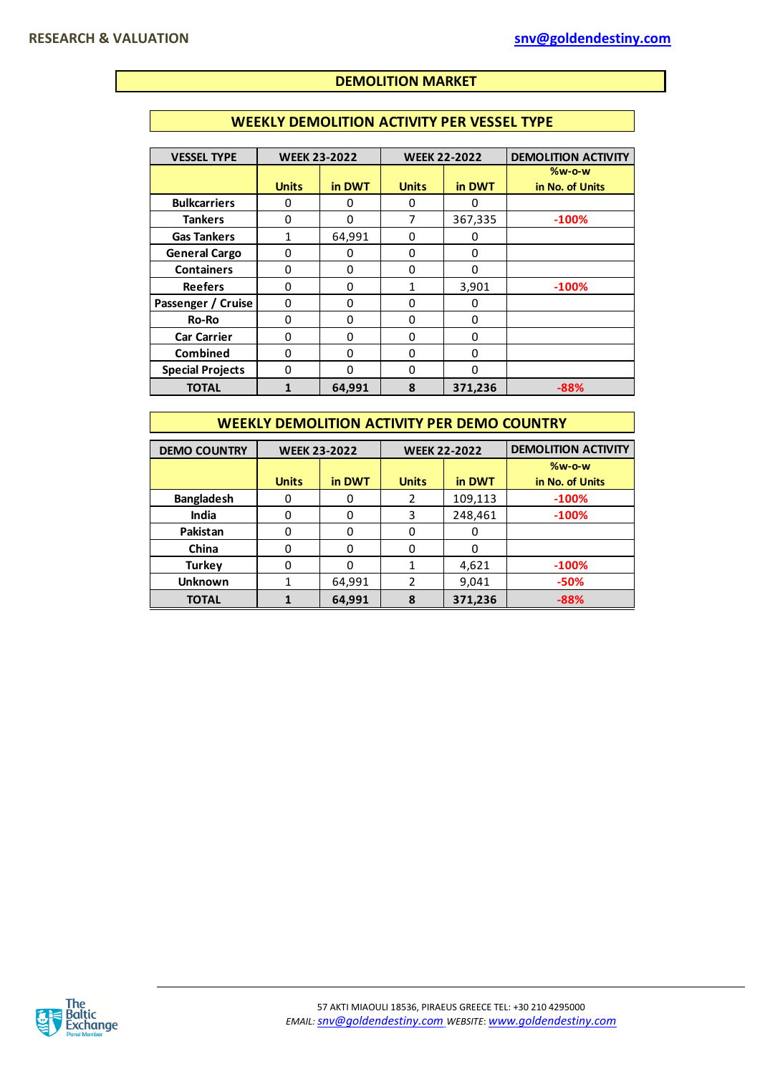## **DEMOLITION MARKET**

#### **WEEKLY DEMOLITION ACTIVITY PER VESSEL TYPE**

| <b>VESSEL TYPE</b>      | <b>WEEK 23-2022</b> |          | <b>WEEK 22-2022</b> |              | <b>DEMOLITION ACTIVITY</b>  |
|-------------------------|---------------------|----------|---------------------|--------------|-----------------------------|
|                         | <b>Units</b>        | in DWT   | <b>Units</b>        | in DWT       | $%w-o-w$<br>in No. of Units |
| <b>Bulkcarriers</b>     | 0                   | 0        | 0                   | 0            |                             |
| <b>Tankers</b>          | 0                   | $\Omega$ | 7                   | 367,335      | $-100%$                     |
| <b>Gas Tankers</b>      |                     | 64,991   | 0                   | 0            |                             |
| <b>General Cargo</b>    | 0                   | 0        | 0                   | 0            |                             |
| <b>Containers</b>       | 0                   | 0        | 0                   | $\Omega$     |                             |
| <b>Reefers</b>          | $\Omega$            | $\Omega$ | 1                   | 3,901        | $-100%$                     |
| Passenger / Cruise      | 0                   | 0        | 0                   | 0            |                             |
| Ro-Ro                   | 0                   | $\Omega$ | 0                   | 0            |                             |
| <b>Car Carrier</b>      | 0                   | 0        | 0                   | 0            |                             |
| <b>Combined</b>         | 0                   | $\Omega$ | 0                   | $\Omega$     |                             |
| <b>Special Projects</b> | U                   | $\Omega$ | N                   | <sup>0</sup> |                             |
| <b>TOTAL</b>            |                     | 64,991   | 8                   | 371,236      | $-88%$                      |

#### **WEEKLY DEMOLITION ACTIVITY PER DEMO COUNTRY**

| <b>DEMO COUNTRY</b> | <b>WEEK 23-2022</b> |          |                | <b>WEEK 22-2022</b> | <b>DEMOLITION ACTIVITY</b> |  |
|---------------------|---------------------|----------|----------------|---------------------|----------------------------|--|
|                     |                     |          |                |                     | $%w-o-w$                   |  |
|                     | <b>Units</b>        | in DWT   | <b>Units</b>   | in DWT              | in No. of Units            |  |
| <b>Bangladesh</b>   |                     |          | 2              | 109,113             | $-100%$                    |  |
| <b>India</b>        |                     |          | 3              | 248,461             | $-100%$                    |  |
| Pakistan            |                     | $\Omega$ | 0              | O)                  |                            |  |
| China               |                     |          |                | O                   |                            |  |
| <b>Turkey</b>       |                     |          |                | 4,621               | $-100%$                    |  |
| <b>Unknown</b>      |                     | 64,991   | $\overline{2}$ | 9,041               | $-50%$                     |  |
| <b>TOTAL</b>        |                     | 64,991   | 8              | 371,236             | $-88%$                     |  |

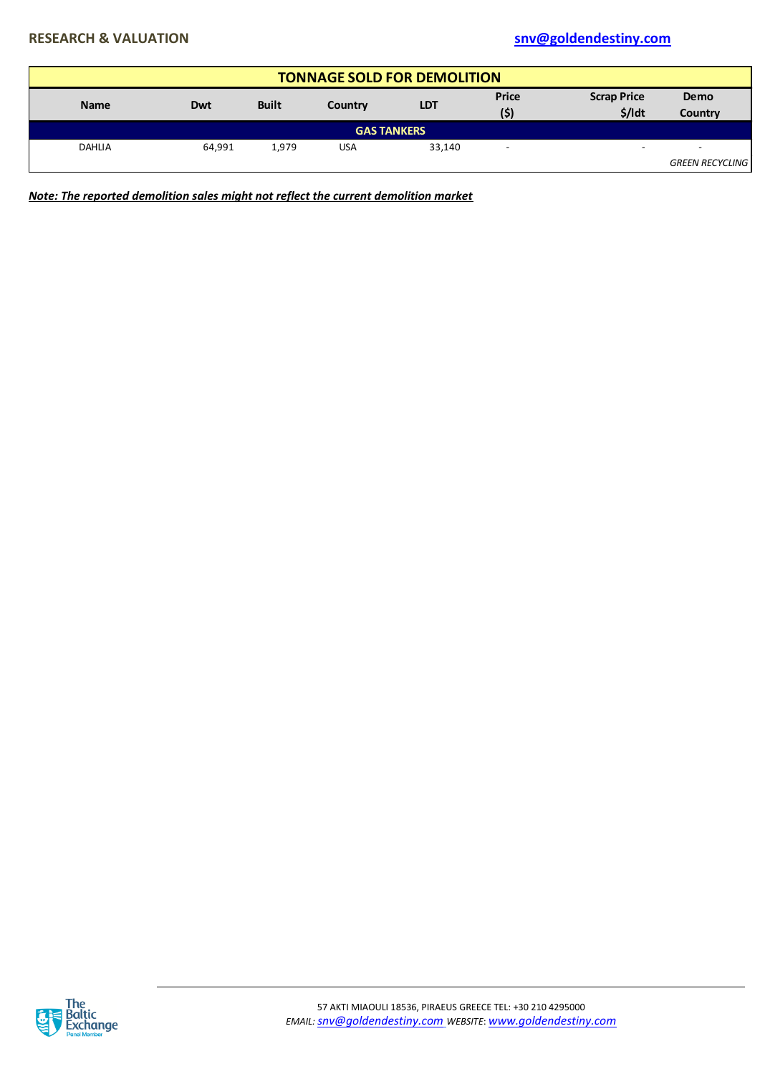| <b>TONNAGE SOLD FOR DEMOLITION</b> |                     |       |            |                    |                          |                                |                        |  |  |  |
|------------------------------------|---------------------|-------|------------|--------------------|--------------------------|--------------------------------|------------------------|--|--|--|
| <b>Name</b>                        | <b>Built</b><br>Dwt |       | Country    | <b>LDT</b>         | <b>Price</b><br>(5)      | <b>Scrap Price</b><br>$$/$ Idt | <b>Demo</b><br>Country |  |  |  |
|                                    |                     |       |            | <b>GAS TANKERS</b> |                          |                                |                        |  |  |  |
| <b>DAHLIA</b>                      | 64.991              | 1.979 | <b>USA</b> | 33,140             | $\overline{\phantom{0}}$ | $\overline{\phantom{0}}$       | -                      |  |  |  |
|                                    |                     |       |            |                    |                          |                                | <b>GREEN RECYCLING</b> |  |  |  |

*Note: The reported demolition sales might not reflect the current demolition market*